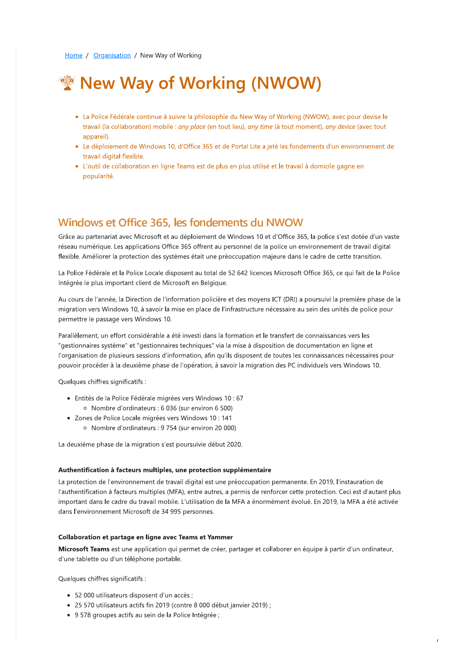# **WAY of Working (NWOW)**

- La Police Federale continue à suivre la philosophie du New Way of Working (NWOW), avec pour devise le la cont Home / Organisation / New \<br>
• La Police Fédérale continu<br>
travail (la collaboration) m<br>
appareil).<br>
• Le déploiement de Windo<br>
travail digital flexible.<br>
• L'outil de collaboration er<br>
popularité. travall (la collaboration) mobile : *dny place* (en tout lieu), *dny time* (a tout moment), *dny device* (avec tout apparell). **Example 18 All Transform CIT WATER (TRANSFORM**) e à suivre la philosophie du New Way of Workin obile : *any place* (en tout lieu), *any time* (à tout r ws 10, d'Office 365 et de Portal Lite a jeté les for ligne Teams est
	- Le déploiement de Windows 10, d'Office 365 et de Portal Lité à Jeté les fondements d'un environnement de l'act travali digital flexible.
	- L'outil de collaboration en ligne Teams est de plus en plus utilise et le travail à domicile gagne en l popularite.

Grace au partenariat avec Microsoft et au deploiement de Windows 10 et d'Office 365, la police s'est dotee d'un vaste reseau numerique. Les applications Office 365 offrent au personnel de la police un environnement de travail digital flexible. Amellorer la protection des systemes etait une preoccupation majeure dans le cadre de cette transition.

La Police Federale et la Police Locale disposent au total de 52 642 licences Microsoft Office 365, ce qui fait de la Police  $\,$ integree le plus important client de Microsoft en Belgique.

**Windows et Off**<br>Grâce au partenariat avec<br>réseau numérique. Les ap<br>flexible. Améliorer la prote<br>La Police Fédérale et la Po<br>Intégrée le plus important<br>Au cours de l'année, la Di<br>migration vers Windows 1<br>permettre le passa Windows et Office 365, les 1<br>Grâce au partenariat avec Microsoft et au dépléseau numérique. Les applications Office 365<br>Texible. Améliorer la protection des systèmes de la Police Fédérale et la Police Locale disposent<br>ntég police s'est dotée d'un vaste<br>nnement de travail digital<br>dre de cette transition.<br>:e 365, ce qui fait de la Police<br>rsuivi la première phase de la<br>n des unités de police pour<br>naissances vers les Au cours de l'année, la Direction de l'information policière et des moyens ICT (DRI) à poursuivi la première phase de la migration vers Windows 10, a savoir la mise en place de l'infrastructure necessaire au sein des unites de police pour permettre le passage vers Windov

La Police Federale et la Police Locale disp<br>Intégrée le plus important client de Micro<br>Au cours de l'année, la Direction de l'info<br>migration vers Windows 10, à savoir la m<br>permettre le passage vers Windows 10.<br>Parallèlemen rallelement, un éffort considérable à été investi dans la formation et le transfert de connaissances vers les "gestionnaires systeme" et "gestionnaires techniques" via la mise à disposition de documentation en ligne et  $\,$ l'organisation de plusieurs sessions d'information, afin qu'ils disposent de toutes les connaissances necessaires pour pouvoir proceder à la deuxieme phase de l'operation, a savoir la migration des PC individuels vers Windows 10. Finantistructure nécessaire au sein des unités de positions d'infrastructure nécessaire au sein des unités de position et le transfert de connaissances vers les la la mise à disposition de documentation en ligne<br>u'ils disp Parallelement, un etfort considerable a et<br>
"gestionnaires système" et "gestionnaires<br>
l'organisation de plusieurs sessions d'info<br>
pouvoir procéder à la deuxième phase de<br>
Quelques chiffres significatifs :<br>
• Entités de l

Queiques chiffres significatifs :

- Entites de la Police Federale migrees vers Windows 10 : 67  $\,$ Nombre d'ordinateurs : 6 036 (sur environ 6 500)
- Zones de Police Locale migrees vers Windows TU $\,$ : 141  $\,$ Forganisation de plusieurs sessions d'i<br>pouvoir procéder à la deuxième phase<br>Quelques chiffres significatifs :<br>• Entités de la Police Fédérale migron<br>• Nombre d'ordinateurs : 6 0<br>• Zones de Police Locale migrées vous de Po Nombre d'ordinateurs : 9 754 (sur environ 20 000)

La deuxième phase de la migration s'est poursuivie début 2020.

#### Authentification à facteurs multiples, une protection supplémentaire

La protection de l'environnement de travail digital est une preoccupation permanente. En 2019, l'instauration de l'authentification à facteurs multiples (MFA), entre autres, a permis de renforcer cette protection. Ceci est d'autant plus important dans le cadre du travail mobile. L'utilisation de la MFA a enormement évolué. En 2019, la MFA à été activée dans l'environnement Microsoft de 34 995 personnes.

#### Collaboration et partage en ligne avec Teams et Yammer

**Microsoft Teams** est une application qui permet de creer, partager et collaborer en equipe a partir d'un ordinateur, d'une tablette ou d'un telephone portable. The d'un téléphone portable.<br>
I d'un téléphone portable.<br>
Saignificatifs :<br>
Sateurs disposent d'un accès ;<br>
Sateurs actifs fin 2019 (contre 8 000 début jan<br>
pes actifs au sein de la Police Intégrée ;

Quelques chiffres significatifs :

- 52 000 utilisateurs disposent d'un accès ;
- 25 570 utilisateurs actifs fin 2019 (contre 8 000 debut Janvier 2019) ;  $\,$
- 9 578 groupes actifs au sein de la Police Integree ;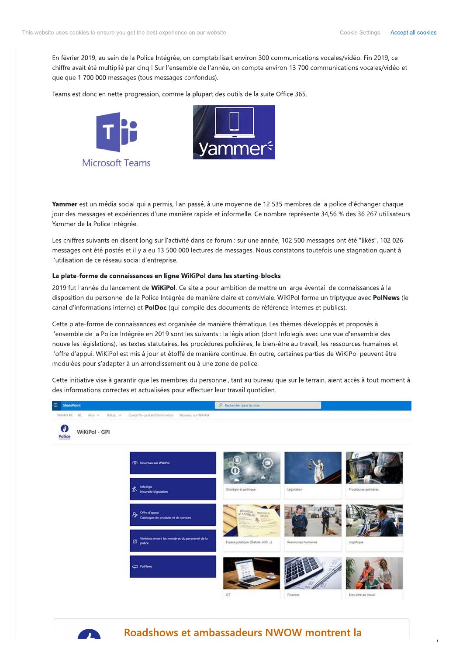$\mathcal{L}_{\mathcal{L}}$ 

En fevrier 2019, au sein de la Police Integree, on comptabilisait environ 300 communications vocales/video. Fin 2019, ce to ensure you get the best experience on our website<br>19, au sein de la Police Intégrée, on comptabile<br>19 au sein de la Police Intégrée, on comptabile<br>10 000 messages (tous messages confondus).<br>10 au notte progression, comm  $\frac{1}{2}$  chirtle avait ete multiplie par cinq ! Sur l'ensemble de l'année, on compte environ 13 700 communications vocales/video et quelque T 700 000 messages (tous messages confondus).

Teams est donc en nette progression, comme la plupart des outils de la suite Office 365.





**rammer** est un media social qui a permis, i'an passe, a une moyenne de 12 535 membres de la police d'echanger chaque jour des méssages et experiences d'une manière rapide et informelle. Le nombre represente 34,56 % des 36 26  $\,$ MICITOSOTT | Earms<br> **Yammer** est un média social qui a permis, l'an passé, à une moyenne de 12 535 membres de la police d'échanger chaque<br>
jour des messages et expériences d'une manière rapide et informelle. Ce nombre repr Yammer de la Police Intégrée.

Les chiffres suivants en disent long sur l'activité dans ce forum : sur une année, 102 500 messages ont été "likes", 102 026 messages ont ete postes et il y a eu 13 500 000 lectures de messages. Nous constatons toutefols une stagnation quant a l'utilisation de ce reseau social d'entreprise.

### La plate-forme de connaissances en ligne WiKiPol dans les starting-blocks

2019 fut l'année du lancement de **WIKIPO**I. Ce sité à pour ambition de mettre un large eventail de connaissances à la disposition du personnel de la Police Integree de maniere claire et conviviale. WikiPol forme un triptyque avec **PolNews** (le canal d'informations interne) et **PolDoc** (qui compile des documents de referènce internes et publics).

vants en disent long sur l'activité dans ce foru<br>été postés et il y a eu 13 500 000 lectures de r<br>ce réseau social d'entreprise.<br>**e de connaissances en ligne WiKiPol dans l**e<br>le du lancement de **WiKiPol**. Ce site a pour ar Cette plate-forme de connaissances est organisee de manière thematique. Les thèmes developpes et proposés à l' l'ensemble de la Police Integree en 2019 sont les suivants : la legislation (dont infolegis avec une vue d'ensemble des **La plate-forme de connaissances en ligne W**<br>
2019 fut l'année du lancement de **WiKiPol**. Ce<br>
disposition du personnel de la Police Intégrée<br>
canal d'informations interne) et **PolDoc** (qui co<br>
Cette plate-forme de connaiss **ans les starting-blocks**<br>
ur ambition de mettre un large éventail de co<br>
re claire et conviviale. WiKiPol forme un tripty<br>
s documents de référence internes et publics)<br>
anière thématique. Les thèmes développés et<br>
ts : l nouvelles legislations), les textes statutaires, les procedures policieres, le bien-etre au travail, les ressources numaines et l'offre d'appul. WikiPol est mis à jour et étoffe de manière continue. En outre, certaines parties de WikiPol peuvent être modulees pour s'adapter à un arrondissement ou à une zone de police.

Cette initiative vise à garantir que les membres du personnel, tant au bureau que sur le terrain, aient acces à tout moment à des informations correctes et actualisées pour éffectuer leur travail quotidien.



Roadshows et ambassadeurs NWOW montrent la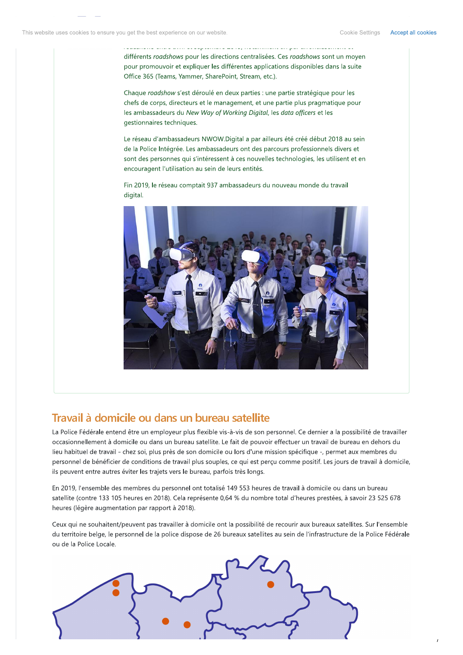Accept all cookies

différents roadshows pour les directions centralisées. Ces roadshows sont un moyen pour promouvoir et expliquer les différentes applications disponibles dans la suite Office 365 (Teams, Yammer, SharePoint, Stream, etc.).

Chaque roadshow s'est déroulé en deux parties : une partie stratégique pour les chefs de corps, directeurs et le management, et une partie plus pragmatique pour les ambassadeurs du New Way of Working Digital, les data officers et les gestionnaires techniques.

Le réseau d'ambassadeurs NWOW.Digital a par ailleurs été créé début 2018 au sein de la Police Intégrée. Les ambassadeurs ont des parcours professionnels divers et sont des personnes qui s'intéressent à ces nouvelles technologies, les utilisent et en encouragent l'utilisation au sein de leurs entités.

Fin 2019, le réseau comptait 937 ambassadeurs du nouveau monde du travail digital.



# Travail à domicile ou dans un bureau satellite

La Police Fédérale entend être un employeur plus flexible vis-à-vis de son personnel. Ce dernier a la possibilité de travailler occasionnellement à domicile ou dans un bureau satellite. Le fait de pouvoir effectuer un travail de bureau en dehors du lieu habituel de travail - chez soi, plus près de son domicile ou lors d'une mission spécifique -, permet aux membres du personnel de bénéficier de conditions de travail plus souples, ce qui est perçu comme positif. Les jours de travail à domicile, ils peuvent entre autres éviter les trajets vers le bureau, parfois très longs.

En 2019, l'ensemble des membres du personnel ont totalisé 149 553 heures de travail à domicile ou dans un bureau satellite (contre 133 105 heures en 2018). Cela représente 0,64 % du nombre total d'heures prestées, à savoir 23 525 678 heures (légère augmentation par rapport à 2018).

Ceux qui ne souhaitent/peuvent pas travailler à domicile ont la possibilité de recourir aux bureaux satellites. Sur l'ensemble du territoire belge, le personnel de la police dispose de 26 bureaux satellites au sein de l'infrastructure de la Police Fédérale ou de la Police Locale.